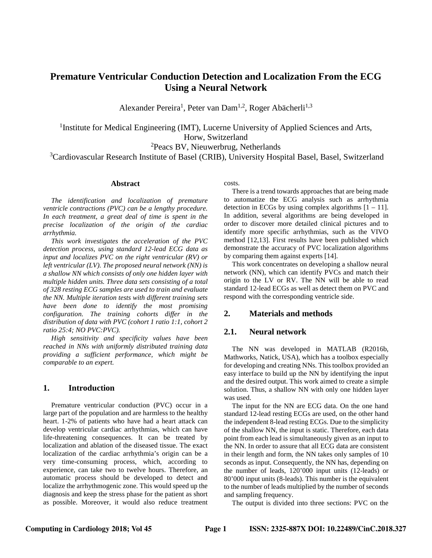# **Premature Ventricular Conduction Detection and Localization From the ECG Using a Neural Network**

Alexander Pereira<sup>1</sup>, Peter van Dam<sup>1,2</sup>, Roger Abächerli<sup>1,3</sup>

<sup>1</sup> Institute for Medical Engineering (IMT), Lucerne University of Applied Sciences and Arts, Horw, Switzerland

<sup>2</sup>Peacs BV, Nieuwerbrug, Netherlands

<sup>3</sup>Cardiovascular Research Institute of Basel (CRIB), University Hospital Basel, Basel, Switzerland

#### **Abstract**

*The identification and localization of premature ventricle contractions (PVC) can be a lengthy procedure. In each treatment, a great deal of time is spent in the precise localization of the origin of the cardiac arrhythmia.* 

*This work investigates the acceleration of the PVC detection process, using standard 12-lead ECG data as input and localizes PVC on the right ventricular (RV) or left ventricular (LV). The proposed neural network (NN) is a shallow NN which consists of only one hidden layer with multiple hidden units. Three data sets consisting of a total of 328 resting ECG samples are used to train and evaluate the NN. Multiple iteration tests with different training sets have been done to identify the most promising configuration. The training cohorts differ in the distribution of data with PVC (cohort 1 ratio 1:1, cohort 2 ratio 25:4; NO PVC:PVC).*

*High sensitivity and specificity values have been reached in NNs with uniformly distributed training data providing a sufficient performance, which might be comparable to an expert.*

## **1. Introduction**

Premature ventricular conduction (PVC) occur in a large part of the population and are harmless to the healthy heart. 1-2% of patients who have had a heart attack can develop ventricular cardiac arrhythmias, which can have life-threatening consequences. It can be treated by localization and ablation of the diseased tissue. The exact localization of the cardiac arrhythmia's origin can be a very time-consuming process, which, according to experience, can take two to twelve hours. Therefore, an automatic process should be developed to detect and localize the arrhythmogenic zone. This would speed up the diagnosis and keep the stress phase for the patient as short as possible. Moreover, it would also reduce treatment

costs.

There is a trend towards approaches that are being made to automatize the ECG analysis such as arrhythmia detection in ECGs by using complex algorithms  $[1 - 11]$ . In addition, several algorithms are being developed in order to discover more detailed clinical pictures and to identify more specific arrhythmias, such as the VIVO method [12,13]. First results have been published which demonstrate the accuracy of PVC localization algorithms by comparing them against experts [14].

This work concentrates on developing a shallow neural network (NN), which can identify PVCs and match their origin to the LV or RV. The NN will be able to read standard 12-lead ECGs as well as detect them on PVC and respond with the corresponding ventricle side.

#### **2. Materials and methods**

#### **2.1. Neural network**

The NN was developed in MATLAB (R2016b, Mathworks, Natick, USA), which has a toolbox especially for developing and creating NNs. This toolbox provided an easy interface to build up the NN by identifying the input and the desired output. This work aimed to create a simple solution. Thus, a shallow NN with only one hidden layer was used.

The input for the NN are ECG data. On the one hand standard 12-lead resting ECGs are used, on the other hand the independent 8-lead resting ECGs. Due to the simplicity of the shallow NN, the input is static. Therefore, each data point from each lead is simultaneously given as an input to the NN. In order to assure that all ECG data are consistent in their length and form, the NN takes only samples of 10 seconds as input. Consequently, the NN has, depending on the number of leads, 120'000 input units (12-leads) or 80'000 input units (8-leads). This number is the equivalent to the number of leads multiplied by the number of seconds and sampling frequency.

The output is divided into three sections: PVC on the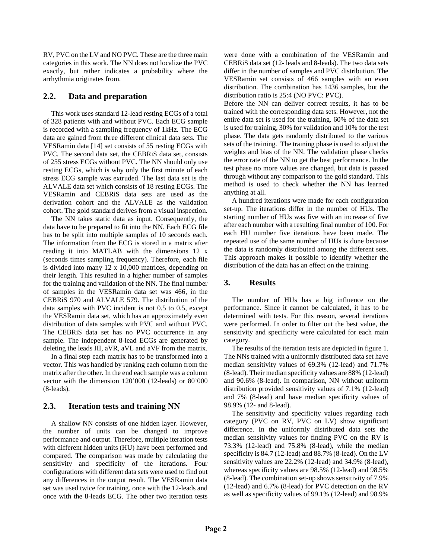RV, PVC on the LV and NO PVC. These are the three main categories in this work. The NN does not localize the PVC exactly, but rather indicates a probability where the arrhythmia originates from.

## **2.2. Data and preparation**

This work uses standard 12-lead resting ECGs of a total of 328 patients with and without PVC. Each ECG sample is recorded with a sampling frequency of 1kHz. The ECG data are gained from three different clinical data sets. The VESRamin data [14] set consists of 55 resting ECGs with PVC. The second data set, the CEBRiS data set, consists of 255 stress ECGs without PVC. The NN should only use resting ECGs, which is why only the first minute of each stress ECG sample was extruded. The last data set is the ALVALE data set which consists of 18 resting ECGs. The VESRamin and CEBRiS data sets are used as the derivation cohort and the ALVALE as the validation cohort. The gold standard derives from a visual inspection.

The NN takes static data as input. Consequently, the data have to be prepared to fit into the NN. Each ECG file has to be split into multiple samples of 10 seconds each. The information from the ECG is stored in a matrix after reading it into MATLAB with the dimensions 12 x (seconds times sampling frequency). Therefore, each file is divided into many 12 x 10,000 matrices, depending on their length. This resulted in a higher number of samples for the training and validation of the NN. The final number of samples in the VESRamin data set was 466, in the CEBRiS 970 and ALVALE 579. The distribution of the data samples with PVC incident is not 0.5 to 0.5, except the VESRamin data set, which has an approximately even distribution of data samples with PVC and without PVC. The CEBRiS data set has no PVC occurrence in any sample. The independent 8-lead ECGs are generated by deleting the leads III, aVR, aVL and aVF from the matrix.

In a final step each matrix has to be transformed into a vector. This was handled by ranking each column from the matrix after the other. In the end each sample was a column vector with the dimension 120'000 (12-leads) or 80'000 (8-leads).

# **2.3. Iteration tests and training NN**

A shallow NN consists of one hidden layer. However, the number of units can be changed to improve performance and output. Therefore, multiple iteration tests with different hidden units (HU) have been performed and compared. The comparison was made by calculating the sensitivity and specificity of the iterations. Four configurations with different data sets were used to find out any differences in the output result. The VESRamin data set was used twice for training, once with the 12-leads and once with the 8-leads ECG. The other two iteration tests

were done with a combination of the VESRamin and CEBRiS data set (12- leads and 8-leads). The two data sets differ in the number of samples and PVC distribution. The VESRamin set consists of 466 samples with an even distribution. The combination has 1436 samples, but the distribution ratio is 25:4 (NO PVC: PVC).

Before the NN can deliver correct results, it has to be trained with the corresponding data sets. However, not the entire data set is used for the training. 60% of the data set is used for training, 30% for validation and 10% for the test phase. The data gets randomly distributed to the various sets of the training. The training phase is used to adjust the weights and bias of the NN. The validation phase checks the error rate of the NN to get the best performance. In the test phase no more values are changed, but data is passed through without any comparison to the gold standard. This method is used to check whether the NN has learned anything at all.

A hundred iterations were made for each configuration set-up. The iterations differ in the number of HUs. The starting number of HUs was five with an increase of five after each number with a resulting final number of 100. For each HU number five iterations have been made. The repeated use of the same number of HUs is done because the data is randomly distributed among the different sets. This approach makes it possible to identify whether the distribution of the data has an effect on the training.

# **3. Results**

The number of HUs has a big influence on the performance. Since it cannot be calculated, it has to be determined with tests. For this reason, several iterations were performed. In order to filter out the best value, the sensitivity and specificity were calculated for each main category.

The results of the iteration tests are depicted in figure 1. The NNs trained with a uniformly distributed data set have median sensitivity values of 69.3% (12-lead) and 71.7% (8-lead). Their median specificity values are 88% (12-lead) and 90.6% (8-lead). In comparison, NN without uniform distribution provided sensitivity values of 7.1% (12-lead) and 7% (8-lead) and have median specificity values of 98.9% (12- and 8-lead).

The sensitivity and specificity values regarding each category (PVC on RV, PVC on LV) show significant difference. In the uniformly distributed data sets the median sensitivity values for finding PVC on the RV is 73.3% (12-lead) and 75.8% (8-lead), while the median specificity is 84.7 (12-lead) and 88.7% (8-lead). On the LV sensitivity values are 22.2% (12-lead) and 34.9% (8-lead), whereas specificity values are 98.5% (12-lead) and 98.5% (8-lead). The combination set-up shows sensitivity of 7.9% (12-lead) and 6.7% (8-lead) for PVC detection on the RV as well as specificity values of 99.1% (12-lead) and 98.9%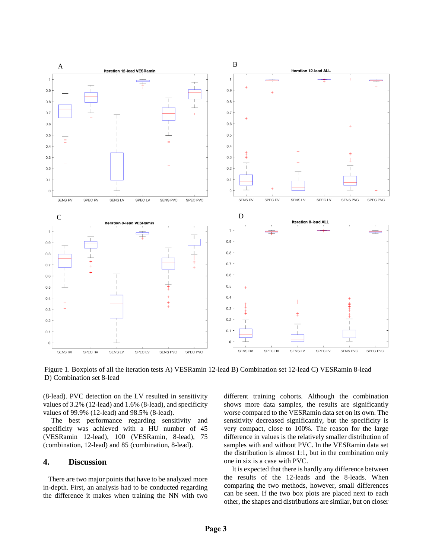

Figure 1. Boxplots of all the iteration tests A) VESRamin 12-lead B) Combination set 12-lead C) VESRamin 8-lead D) Combination set 8-lead

(8-lead). PVC detection on the LV resulted in sensitivity values of 3.2% (12-lead) and 1.6% (8-lead), and specificity values of 99.9% (12-lead) and 98.5% (8-lead).

The best performance regarding sensitivity and specificity was achieved with a HU number of 45 (VESRamin 12-lead), 100 (VESRamin, 8-lead), 75 (combination, 12-lead) and 85 (combination, 8-lead).

### **4. Discussion**

There are two major points that have to be analyzed more in-depth. First, an analysis had to be conducted regarding the difference it makes when training the NN with two

different training cohorts. Although the combination shows more data samples, the results are significantly worse compared to the VESRamin data set on its own. The sensitivity decreased significantly, but the specificity is very compact, close to 100%. The reason for the large difference in values is the relatively smaller distribution of samples with and without PVC. In the VESRamin data set the distribution is almost 1:1, but in the combination only one in six is a case with PVC.

It is expected that there is hardly any difference between the results of the 12-leads and the 8-leads. When comparing the two methods, however, small differences can be seen. If the two box plots are placed next to each other, the shapes and distributions are similar, but on closer